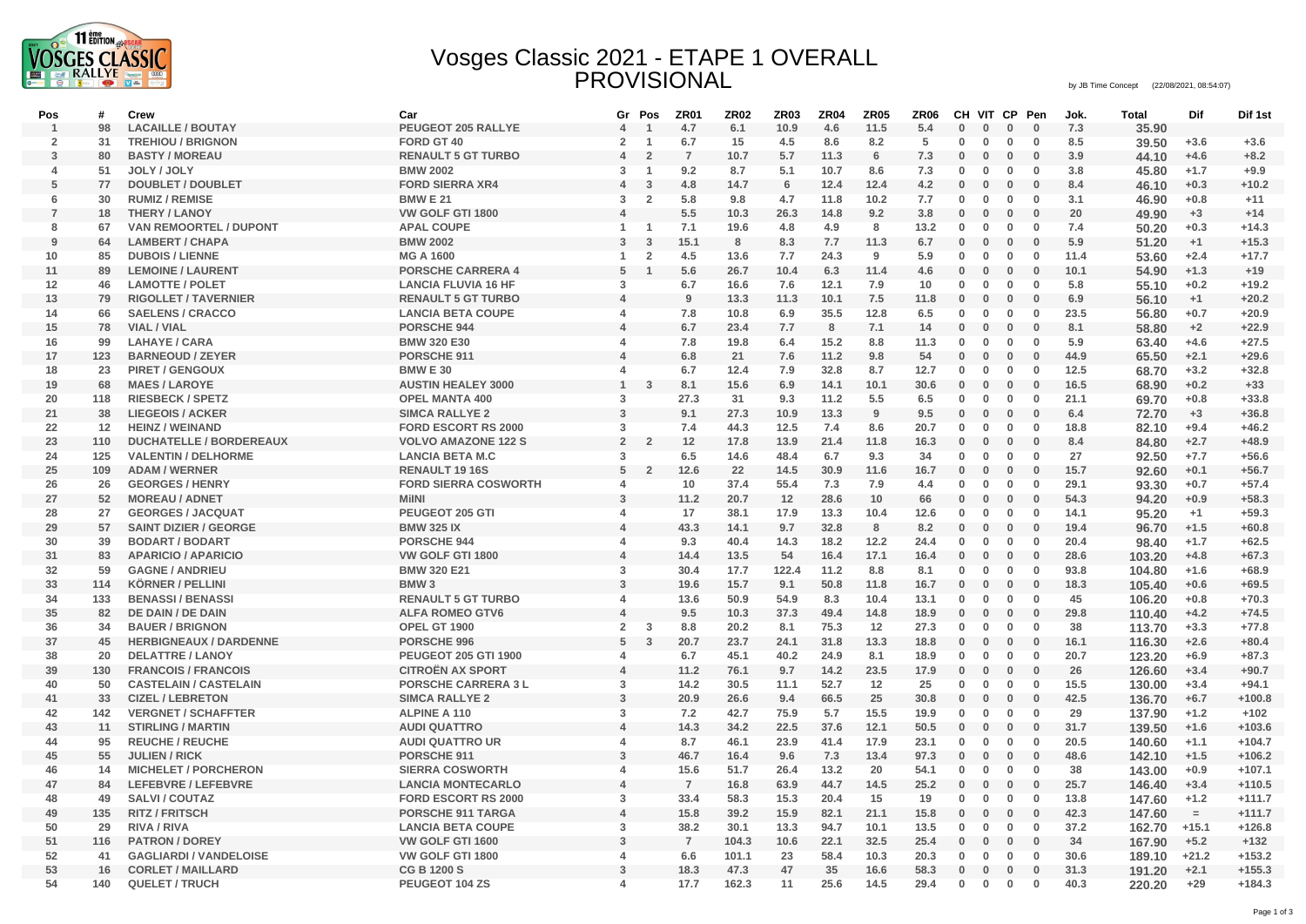

## Vosges Classic 2021 - ETAPE 1 OVERALL PROVISIONAL by JB Time Concept (22/08/2021, 08:54:07)

| Pos            | #   | Crew                           | Car                         | Gr                      | Pos<br>$\overline{1}$ | ZR01           | <b>ZR02</b> | <b>ZR03</b> | <b>ZR04</b> | <b>ZR05</b> | ZR <sub>06</sub> | CH           | VIT CP       |              | Pen          | Jok.       | <b>Total</b> | Dif      | Dif 1st  |
|----------------|-----|--------------------------------|-----------------------------|-------------------------|-----------------------|----------------|-------------|-------------|-------------|-------------|------------------|--------------|--------------|--------------|--------------|------------|--------------|----------|----------|
| $\overline{1}$ | 98  | <b>LACAILLE / BOUTAY</b>       | PEUGEOT 205 RALLYE          | $\overline{4}$          |                       | 4.7            | 6.1         | 10.9        | 4.6         | 11.5        | 5.4<br>5         | $\bf{0}$     | $\bf{0}$     | $\bf{0}$     | $\mathbf{0}$ | 7.3<br>8.5 | 35.90        |          |          |
| $\overline{2}$ | 31  | <b>TREHIOU / BRIGNON</b>       | FORD GT 40                  | $\overline{2}$          | $\overline{1}$        | 6.7            | 15          | 4.5         | 8.6         | 8.2         |                  | $\mathbf{0}$ | $\mathbf 0$  | $\bf{0}$     | $\mathbf{0}$ |            | 39.50        | $+3.6$   | $+3.6$   |
| 3              | 80  | <b>BASTY / MOREAU</b>          | <b>RENAULT 5 GT TURBO</b>   | $\overline{4}$          | $\overline{2}$        | $\overline{7}$ | 10.7        | 5.7         | 11.3        | 6           | 7.3              | 0            | $\bf{0}$     | $\mathbf 0$  | $\mathbf 0$  | 3.9        | 44.10        | $+4.6$   | $+8.2$   |
| 4              | 51  | JOLY / JOLY                    | <b>BMW 2002</b>             | 3                       | -1                    | 9.2            | 8.7         | 5.1         | 10.7        | 8.6         | 7.3              | 0            | $\mathbf 0$  | $\mathbf{0}$ | $\mathbf 0$  | 3.8        | 45.80        | $+1.7$   | $+9.9$   |
| 5              | 77  | <b>DOUBLET / DOUBLET</b>       | <b>FORD SIERRA XR4</b>      | $\overline{4}$          | 3                     | 4.8            | 14.7        | 6           | 12.4        | 12.4        | 4.2              | $\bf{0}$     | $\bf{0}$     | $\mathbf 0$  | $\mathbf{0}$ | 8.4        | 46.10        | $+0.3$   | $+10.2$  |
| 6              | 30  | <b>RUMIZ / REMISE</b>          | <b>BMW E 21</b>             | 3                       | $\overline{2}$        | 5.8            | 9.8         | 4.7         | 11.8        | 10.2        | 7.7              | 0            | 0            | $\mathbf 0$  | 0            | 3.1        | 46.90        | $+0.8$   | $+11$    |
| $\overline{7}$ | 18  | <b>THERY / LANOY</b>           | VW GOLF GTI 1800            | $\overline{4}$          |                       | 5.5            | 10.3        | 26.3        | 14.8        | 9.2         | 3.8              | $\bf{0}$     | 0            | $\mathbf{0}$ | $\bf{0}$     | 20         | 49.90        | $+3$     | $+14$    |
| 8              | 67  | <b>VAN REMOORTEL / DUPONT</b>  | <b>APAL COUPE</b>           | 1                       | -1                    | 7.1            | 19.6        | 4.8         | 4.9         | 8           | 13.2             | $\bf{0}$     | $\bf{0}$     | $\bf{0}$     | $\bf{0}$     | 7.4        | 50.20        | $+0.3$   | $+14.3$  |
| 9              | 64  | <b>LAMBERT / CHAPA</b>         | <b>BMW 2002</b>             | 3                       | $\overline{3}$        | 15.1           | 8           | 8.3         | 7.7         | 11.3        | 6.7              | $\mathbf 0$  | $\mathbf{0}$ | $\mathbf 0$  | $\mathbf{0}$ | 5.9        | 51.20        | $+1$     | $+15.3$  |
| 10             | 85  | <b>DUBOIS / LIENNE</b>         | <b>MG A 1600</b>            | 1                       | $\overline{2}$        | 4.5            | 13.6        | 7.7         | 24.3        | 9           | 5.9              | 0            | $\mathbf 0$  | $\mathbf 0$  | $\mathbf 0$  | 11.4       | 53.60        | $+2.4$   | $+17.7$  |
| 11             | 89  | <b>LEMOINE / LAURENT</b>       | <b>PORSCHE CARRERA 4</b>    | 5                       | $\overline{1}$        | 5.6            | 26.7        | 10.4        | 6.3         | 11.4        | 4.6              | 0            | $\bf{0}$     | $\mathbf 0$  | $\mathbf{0}$ | 10.1       | 54.90        | $+1.3$   | $+19$    |
| 12             | 46  | <b>LAMOTTE / POLET</b>         | <b>LANCIA FLUVIA 16 HF</b>  | 3                       |                       | 6.7            | 16.6        | 7.6         | 12.1        | 7.9         | 10               | $\bf{0}$     | $\bf{0}$     | $\mathbf{0}$ | $\bf{0}$     | 5.8        | 55.10        | $+0.2$   | $+19.2$  |
| 13             | 79  | <b>RIGOLLET / TAVERNIER</b>    | <b>RENAULT 5 GT TURBO</b>   | $\overline{a}$          |                       | 9              | 13.3        | 11.3        | 10.1        | 7.5         | 11.8             | $\mathbf 0$  | $\mathbf{0}$ | $\bf{0}$     | $\mathbf 0$  | 6.9        | 56.10        | $+1$     | $+20.2$  |
| 14             | 66  | <b>SAELENS / CRACCO</b>        | <b>LANCIA BETA COUPE</b>    | $\boldsymbol{\Delta}$   |                       | 7.8            | 10.8        | 6.9         | 35.5        | 12.8        | 6.5              | 0            | $\mathbf 0$  | $\mathbf 0$  | $\mathbf 0$  | 23.5       | 56.80        | $+0.7$   | $+20.9$  |
| 15             | 78  | <b>VIAL / VIAL</b>             | PORSCHE 944                 | $\boldsymbol{\Delta}$   |                       | 6.7            | 23.4        | 7.7         | 8           | 7.1         | 14               | $\bf{0}$     | $\bf{0}$     | $\mathbf{0}$ | $\bf{0}$     | 8.1        | 58.80        | $+2$     | $+22.9$  |
| 16             | 99  | <b>LAHAYE / CARA</b>           | <b>BMW 320 E30</b>          | $\Delta$                |                       | 7.8            | 19.8        | 6.4         | 15.2        | 8.8         | 11.3             | $\bf{0}$     | $\mathbf 0$  | $\mathbf 0$  | $\mathbf 0$  | 5.9        | 63.40        | $+4.6$   | $+27.5$  |
| 17             | 123 | <b>BARNEOUD / ZEYER</b>        | PORSCHE 911                 | $\overline{4}$          |                       | 6.8            | 21          | 7.6         | 11.2        | 9.8         | 54               | $\bf{0}$     | $\bf{0}$     | $\bf{0}$     | $\bf{0}$     | 44.9       | 65.50        | $+2.1$   | $+29.6$  |
| 18             | 23  | <b>PIRET / GENGOUX</b>         | <b>BMW E 30</b>             | $\overline{\mathbf{A}}$ |                       | 6.7            | 12.4        | 7.9         | 32.8        | 8.7         | 12.7             | 0            | $\mathbf 0$  | $\mathbf{0}$ | $\bf{0}$     | 12.5       | 68.70        | $+3.2$   | $+32.8$  |
| 19             | 68  | <b>MAES/LAROYE</b>             | <b>AUSTIN HEALEY 3000</b>   | $\mathbf{1}$            | $\overline{3}$        | 8.1            | 15.6        | 6.9         | 14.1        | 10.1        | 30.6             | $\bf{0}$     | $\bf{0}$     | $\mathbf 0$  | $\mathbf{0}$ | 16.5       | 68.90        | $+0.2$   | $+33$    |
| 20             | 118 | <b>RIESBECK / SPETZ</b>        | <b>OPEL MANTA 400</b>       | 3                       |                       | 27.3           | 31          | 9.3         | 11.2        | 5.5         | 6.5              | $\bf{0}$     | $\bf{0}$     | $\mathbf{0}$ | $\mathbf 0$  | 21.1       | 69.70        | $+0.8$   | $+33.8$  |
| 21             | 38  | <b>LIEGEOIS / ACKER</b>        | <b>SIMCA RALLYE 2</b>       | $\mathbf{3}$            |                       | 9.1            | 27.3        | 10.9        | 13.3        | 9           | 9.5              | 0            | $\bf{0}$     | $\bf{0}$     | $\bf{0}$     | 6.4        | 72.70        | $+3$     | $+36.8$  |
| 22             | 12  | <b>HEINZ / WEINAND</b>         | <b>FORD ESCORT RS 2000</b>  | 3                       |                       | 7.4            | 44.3        | 12.5        | 7.4         | 8.6         | 20.7             | $\bf{0}$     | $\bf{0}$     | $\mathbf{0}$ | $\bf{0}$     | 18.8       | 82.10        | $+9.4$   | $+46.2$  |
| 23             | 110 | <b>DUCHATELLE / BORDEREAUX</b> | <b>VOLVO AMAZONE 122 S</b>  | $\overline{2}$          | $\overline{2}$        | 12             | 17.8        | 13.9        | 21.4        | 11.8        | 16.3             | $\mathbf 0$  | $\mathbf{0}$ | $\mathbf{0}$ | $\mathbf{0}$ | 8.4        | 84.80        | $+2.7$   | $+48.9$  |
| 24             | 125 | <b>VALENTIN / DELHORME</b>     | <b>LANCIA BETA M.C</b>      | 3                       |                       | 6.5            | 14.6        | 48.4        | 6.7         | 9.3         | 34               | $\bf{0}$     | $\bf{0}$     | $\mathbf 0$  | $\mathbf 0$  | 27         | 92.50        | $+7.7$   | $+56.6$  |
| 25             | 109 | <b>ADAM / WERNER</b>           | <b>RENAULT 19 16S</b>       | 5                       | $\overline{2}$        | 12.6           | 22          | 14.5        | 30.9        | 11.6        | 16.7             | 0            | 0            | $\mathbf 0$  | $\bf{0}$     | 15.7       | 92.60        | $+0.1$   | $+56.7$  |
| 26             | 26  | <b>GEORGES / HENRY</b>         | <b>FORD SIERRA COSWORTH</b> | $\Delta$                |                       | 10             | 37.4        | 55.4        | 7.3         | 7.9         | 4.4              | $\mathbf{0}$ | $\mathbf{0}$ | $\mathbf{0}$ | $\bf{0}$     | 29.1       | 93.30        | $+0.7$   | $+57.4$  |
| 27             | 52  | <b>MOREAU / ADNET</b>          | <b>MilNI</b>                | $\mathbf{3}$            |                       | 11.2           | 20.7        | 12          | 28.6        | 10          | 66               | $\bf{0}$     | $\bf{0}$     | $\bf{0}$     | $\mathbf 0$  | 54.3       | 94.20        | $+0.9$   | $+58.3$  |
| 28             | 27  | <b>GEORGES / JACQUAT</b>       | PEUGEOT 205 GTI             | $\overline{a}$          |                       | 17             | 38.1        | 17.9        | 13.3        | 10.4        | 12.6             | 0            | 0            | 0            | $\bf{0}$     | 14.1       | 95.20        | $+1$     | $+59.3$  |
| 29             | 57  | <b>SAINT DIZIER / GEORGE</b>   | <b>BMW 325 IX</b>           | $\overline{A}$          |                       | 43.3           | 14.1        | 9.7         | 32.8        | 8           | 8.2              | $\bf{0}$     | $\bf{0}$     | $\mathbf{0}$ | $\mathbf 0$  | 19.4       | 96.70        | $+1.5$   | $+60.8$  |
| 30             | 39  | <b>BODART / BODART</b>         | PORSCHE 944                 | $\Delta$                |                       | 9.3            | 40.4        | 14.3        | 18.2        | 12.2        | 24.4             | $\bf{0}$     | $\bf{0}$     | $\mathbf 0$  | $\mathbf 0$  | 20.4       | 98.40        | $+1.7$   | $+62.5$  |
| 31             | 83  | <b>APARICIO / APARICIO</b>     | VW GOLF GTI 1800            | 4                       |                       | 14.4           | 13.5        | 54          | 16.4        | 17.1        | 16.4             | 0            | $\bf{0}$     | $\bf{0}$     | $\bf{0}$     | 28.6       | 103.20       | $+4.8$   | $+67.3$  |
| 32             | 59  | <b>GAGNE / ANDRIEU</b>         | <b>BMW 320 E21</b>          | 3                       |                       | 30.4           | 17.7        | 122.4       | 11.2        | 8.8         | 8.1              | 0            | $\mathbf 0$  | $\mathbf{0}$ | $\bf{0}$     | 93.8       | 104.80       | $+1.6$   | $+68.9$  |
| 33             | 114 | <b>KÖRNER / PELLINI</b>        | BMW <sub>3</sub>            | $\overline{3}$          |                       | 19.6           | 15.7        | 9.1         | 50.8        | 11.8        | 16.7             | $\mathbf 0$  | $\mathbf{0}$ | $\mathbf 0$  | $\bf{0}$     | 18.3       | 105.40       | $+0.6$   | $+69.5$  |
| 34             | 133 | <b>BENASSI / BENASSI</b>       | <b>RENAULT 5 GT TURBO</b>   | $\overline{4}$          |                       | 13.6           | 50.9        | 54.9        | 8.3         | 10.4        | 13.1             | $\bf{0}$     | $\mathbf 0$  | $\mathbf{0}$ | $\mathbf 0$  | 45         | 106.20       | $+0.8$   | $+70.3$  |
| 35             | 82  | DE DAIN / DE DAIN              | <b>ALFA ROMEO GTV6</b>      | $\overline{4}$          |                       | 9.5            | 10.3        | 37.3        | 49.4        | 14.8        | 18.9             | 0            | $\bf{0}$     | $\mathbf 0$  | $\bf{0}$     | 29.8       | 110.40       | $+4.2$   | $+74.5$  |
| 36             | 34  | <b>BAUER / BRIGNON</b>         | OPEL GT 1900                | $\overline{2}$          | -3                    | 8.8            | 20.2        | 8.1         | 75.3        | 12          | 27.3             | 0            | $\mathbf 0$  | $\mathbf{0}$ | $\mathbf{0}$ | 38         | 113.70       | $+3.3$   | $+77.8$  |
| 37             | 45  | <b>HERBIGNEAUX / DARDENNE</b>  | PORSCHE 996                 | 5                       | $\mathbf{3}$          | 20.7           | 23.7        | 24.1        | 31.8        | 13.3        | 18.8             | $\mathbf 0$  | $\mathbf{0}$ | $\mathbf{0}$ | $\mathbf{0}$ | 16.1       | 116.30       | $+2.6$   | $+80.4$  |
| 38             | 20  | <b>DELATTRE / LANOY</b>        | <b>PEUGEOT 205 GTI 1900</b> | $\overline{4}$          |                       | 6.7            | 45.1        | 40.2        | 24.9        | 8.1         | 18.9             | 0            | $\bf{0}$     | $\mathbf 0$  | $\mathbf 0$  | 20.7       | 123.20       | $+6.9$   | $+87.3$  |
| 39             | 130 | <b>FRANCOIS / FRANCOIS</b>     | <b>CITROËN AX SPORT</b>     | $\overline{4}$          |                       | 11.2           | 76.1        | 9.7         | 14.2        | 23.5        | 17.9             | 0            | 0            | $\mathbf 0$  | $\bf{0}$     | 26         | 126.60       | $+3.4$   | $+90.7$  |
| 40             | 50  | <b>CASTELAIN / CASTELAIN</b>   | <b>PORSCHE CARRERA 3 L</b>  | 3                       |                       | 14.2           | 30.5        | 11.1        | 52.7        | 12          | 25               | 0            | $\bf{0}$     | $\mathbf{0}$ | $\mathbf 0$  | 15.5       | 130.00       | $+3.4$   | $+94.1$  |
| 41             | 33  | <b>CIZEL / LEBRETON</b>        | <b>SIMCA RALLYE 2</b>       | $\mathbf{3}$            |                       | 20.9           | 26.6        | 9.4         | 66.5        | 25          | 30.8             | $\mathbf 0$  | $\bf{0}$     | $\bf{0}$     | $\mathbf{0}$ | 42.5       | 136.70       | $+6.7$   | $+100.8$ |
| 42             | 142 | <b>VERGNET / SCHAFFTER</b>     | <b>ALPINE A 110</b>         | 3                       |                       | 7.2            | 42.7        | 75.9        | 5.7         | 15.5        | 19.9             | 0            | $\bf{0}$     | $\mathbf{0}$ | $\bf{0}$     | 29         | 137.90       | $+1.2$   | $+102$   |
| 43             | 11  | <b>STIRLING / MARTIN</b>       | <b>AUDI QUATTRO</b>         | $\overline{A}$          |                       | 14.3           | 34.2        | 22.5        | 37.6        | 12.1        | 50.5             | $\bf{0}$     | $\bf{0}$     | $\mathbf{0}$ | $\mathbf{0}$ | 31.7       | 139.50       | $+1.6$   | $+103.6$ |
| 44             | 95  | <b>REUCHE / REUCHE</b>         | <b>AUDI QUATTRO UR</b>      | $\Delta$                |                       | 8.7            | 46.1        | 23.9        | 41.4        | 17.9        | 23.1             | $\bf{0}$     | $\mathbf 0$  | $\mathbf 0$  | $\bf{0}$     | 20.5       | 140.60       | $+1.1$   | $+104.7$ |
| 45             | 55  | <b>JULIEN / RICK</b>           | PORSCHE 911                 | $\mathbf{3}$            |                       | 46.7           | 16.4        | 9.6         | 7.3         | 13.4        | 97.3             | 0            | $\bf{0}$     | $\mathbf 0$  | $\bf{0}$     | 48.6       | 142.10       | $+1.5$   | $+106.2$ |
| 46             | 14  | <b>MICHELET / PORCHERON</b>    | <b>SIERRA COSWORTH</b>      | $\boldsymbol{\Delta}$   |                       | 15.6           | 51.7        | 26.4        | 13.2        | 20          | 54.1             | $\bf{0}$     | $\bf{0}$     | $\mathbf{0}$ | $\bf{0}$     | 38         | 143.00       | $+0.9$   | $+107.1$ |
| 47             | 84  | LEFEBVRE / LEFEBVRE            | <b>LANCIA MONTECARLO</b>    | $\overline{4}$          |                       | $\overline{7}$ | 16.8        | 63.9        | 44.7        | 14.5        | 25.2             | $\mathbf 0$  | $\mathbf{0}$ | $\mathbf{0}$ | $\bf{0}$     | 25.7       | 146.40       | $+3.4$   | $+110.5$ |
| 48             | 49  | <b>SALVI / COUTAZ</b>          | <b>FORD ESCORT RS 2000</b>  | 3                       |                       | 33.4           | 58.3        | 15.3        | 20.4        | 15          | 19               | $\bf{0}$     | $\bf{0}$     | $\mathbf{0}$ | $\mathbf 0$  | 13.8       | 147.60       | $+1.2$   | $+111.7$ |
| 49             | 135 | <b>RITZ / FRITSCH</b>          | PORSCHE 911 TARGA           | $\overline{4}$          |                       | 15.8           | 39.2        | 15.9        | 82.1        | 21.1        | 15.8             | 0            | $\bf{0}$     | $\mathbf 0$  | $\bf{0}$     | 42.3       | 147.60       | $\equiv$ | $+111.7$ |
| 50             | 29  | <b>RIVA / RIVA</b>             | <b>LANCIA BETA COUPE</b>    | 3                       |                       | 38.2           | 30.1        | 13.3        | 94.7        | 10.1        | 13.5             | 0            | 0            | $\mathbf{0}$ | $\mathbf 0$  | 37.2       | 162.70       | $+15.1$  | $+126.8$ |
| 51             | 116 | <b>PATRON / DOREY</b>          | VW GOLF GTI 1600            | 3                       |                       | $\overline{7}$ | 104.3       | 10.6        | 22.1        | 32.5        | 25.4             | $\mathbf 0$  | $\mathbf{0}$ | $\mathbf{0}$ | $\mathbf{0}$ | 34         | 167.90       | $+5.2$   | $+132$   |
| 52             | 41  | <b>GAGLIARDI / VANDELOISE</b>  | VW GOLF GTI 1800            | $\overline{\mathbf{A}}$ |                       | 6.6            | 101.1       | 23          | 58.4        | 10.3        | 20.3             | 0            | $\bf{0}$     | $\mathbf 0$  | $\bf{0}$     | 30.6       | 189.10       | $+21.2$  | $+153.2$ |
| 53             | 16  | <b>CORLET / MAILLARD</b>       | <b>CG B 1200 S</b>          | 3                       |                       | 18.3           | 47.3        | 47          | 35          | 16.6        | 58.3             | 0            | $\bf{0}$     | $\mathbf 0$  | $\bf{0}$     | 31.3       | 191.20       | $+2.1$   | $+155.3$ |
| 54             | 140 | <b>QUELET / TRUCH</b>          | PEUGEOT 104 ZS              | $\Delta$                |                       | 17.7           | 162.3       | 11          | 25.6        | 14.5        | 29.4             | $\mathbf 0$  | $\bf{0}$     | $\bf{0}$     | $\bf{0}$     | 40.3       |              | $+29$    | $+184.3$ |
|                |     |                                |                             |                         |                       |                |             |             |             |             |                  |              |              |              |              |            | 220.20       |          |          |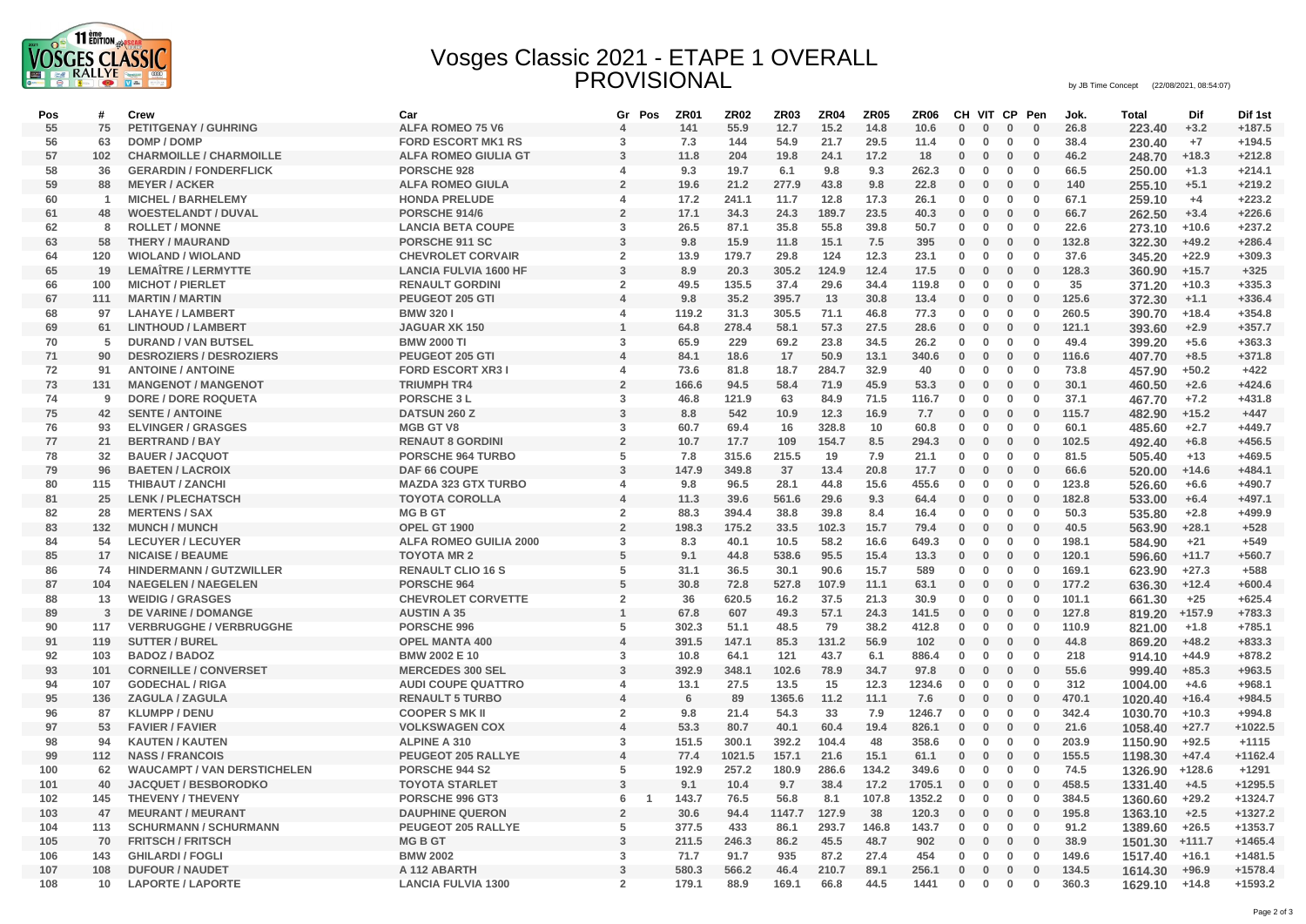

## Vosges Classic 2021 - ETAPE 1 OVERALL PROVISIONAL by JB Time Concept (22/08/2021, 08:54:07)

| Pos | #              | Crew                               | Car                           | Gr<br>Pos                        | <b>ZR01</b> | <b>ZR02</b> | <b>ZR03</b> | <b>ZR04</b> | <b>ZR05</b> | ZR06   |              | CH VIT CP Pen |              |              | Jok.  | <b>Total</b>  | Dif      | Dif 1st   |
|-----|----------------|------------------------------------|-------------------------------|----------------------------------|-------------|-------------|-------------|-------------|-------------|--------|--------------|---------------|--------------|--------------|-------|---------------|----------|-----------|
| 55  | 75             | <b>PETITGENAY / GUHRING</b>        | <b>ALFA ROMEO 75 V6</b>       | $\overline{4}$                   | 141         | 55.9        | 12.7        | 15.2        | 14.8        | 10.6   | 0            | $\bf{0}$      | $\bf{0}$     | $\bf{0}$     | 26.8  | 223.40        | $+3.2$   | $+187.5$  |
| 56  | 63             | DOMP / DOMP                        | <b>FORD ESCORT MK1 RS</b>     | 3                                | 7.3         | 144         | 54.9        | 21.7        | 29.5        | 11.4   | $\bf{0}$     | $\mathbf 0$   | $\mathbf 0$  | $\bf{0}$     | 38.4  | 230.40        | $+7$     | $+194.5$  |
| 57  | 102            | <b>CHARMOILLE / CHARMOILLE</b>     | <b>ALFA ROMEO GIULIA GT</b>   | 3                                | 11.8        | 204         | 19.8        | 24.1        | 17.2        | 18     | $\mathbf 0$  | 0             | $\bf{0}$     | $\bf{0}$     | 46.2  | 248.70        | $+18.3$  | $+212.8$  |
| 58  | 36             | <b>GERARDIN / FONDERFLICK</b>      | PORSCHE 928                   | $\Delta$                         | 9.3         | 19.7        | 6.1         | 9.8         | 9.3         | 262.3  | 0            | $\bf{0}$      | $\bf{0}$     | $\bf{0}$     | 66.5  | 250.00        | $+1.3$   | $+214.1$  |
| 59  | 88             | <b>MEYER / ACKER</b>               | <b>ALFA ROMEO GIULA</b>       | $\overline{2}$                   | 19.6        | 21.2        | 277.9       | 43.8        | 9.8         | 22.8   | $\mathbf 0$  | $\bf{0}$      | $\mathbf 0$  | $\bf{0}$     | 140   | 255.10        | $+5.1$   | $+219.2$  |
| 60  | $\overline{1}$ | <b>MICHEL / BARHELEMY</b>          | <b>HONDA PRELUDE</b>          | $\overline{4}$                   | 17.2        | 241.1       | 11.7        | 12.8        | 17.3        | 26.1   | $\bf{0}$     | $\mathbf 0$   | $\mathbf 0$  | $\mathbf 0$  | 67.1  | 259.10        | $+4$     | $+223.2$  |
| 61  | 48             | <b>WOESTELANDT / DUVAL</b>         | PORSCHE 914/6                 | $\overline{2}$                   | 17.1        | 34.3        | 24.3        | 189.7       | 23.5        | 40.3   | 0            | $\bf{0}$      | $\mathbf 0$  | $\bf{0}$     | 66.7  | 262.50        | $+3.4$   | $+226.6$  |
| 62  | 8              | <b>ROLLET / MONNE</b>              | <b>LANCIA BETA COUPE</b>      | $\mathbf{3}$                     | 26.5        | 87.1        | 35.8        | 55.8        | 39.8        | 50.7   | 0            | 0             | $\mathbf 0$  | $\mathbf 0$  | 22.6  | 273.10        | $+10.6$  | $+237.2$  |
| 63  | 58             | <b>THERY / MAURAND</b>             | PORSCHE 911 SC                | 3                                | 9.8         | 15.9        | 11.8        | 15.1        | 7.5         | 395    | $\mathbf{0}$ | $\bf{0}$      | $\mathbf 0$  | $\mathbf{0}$ | 132.8 | 322.30        | $+49.2$  | $+286.4$  |
| 64  | 120            | <b>WIOLAND / WIOLAND</b>           | <b>CHEVROLET CORVAIR</b>      | $\overline{2}$                   | 13.9        | 179.7       | 29.8        | 124         | 12.3        | 23.1   | 0            | $\bf{0}$      | $\bf{0}$     | $\bf{0}$     | 37.6  | 345.20        | $+22.9$  | $+309.3$  |
| 65  | 19             | <b>LEMAÎTRE / LERMYTTE</b>         | <b>LANCIA FULVIA 1600 HF</b>  | 3                                | 8.9         | 20.3        | 305.2       | 124.9       | 12.4        | 17.5   | 0            | $\bf{0}$      | $\bf{0}$     | $\bf{0}$     | 128.3 | 360.90        | $+15.7$  | $+325$    |
| 66  | 100            | <b>MICHOT / PIERLET</b>            | <b>RENAULT GORDINI</b>        | $\overline{2}$                   | 49.5        | 135.5       | 37.4        | 29.6        | 34.4        | 119.8  | 0            | 0             | $\mathbf 0$  | $\bf{0}$     | 35    | 371.20        | $+10.3$  | $+335.3$  |
| 67  | 111            | <b>MARTIN / MARTIN</b>             | PEUGEOT 205 GTI               | $\boldsymbol{A}$                 | 9.8         | 35.2        | 395.7       | 13          | 30.8        | 13.4   | 0            | $\bf{0}$      | $\mathbf 0$  | $\bf{0}$     | 125.6 | 372.30        | $+1.1$   | $+336.4$  |
| 68  | 97             | <b>LAHAYE / LAMBERT</b>            | <b>BMW 3201</b>               | $\boldsymbol{4}$                 | 119.2       | 31.3        | 305.5       | 71.1        | 46.8        | 77.3   | 0            | $\bf{0}$      | $\mathbf 0$  | $\bf{0}$     | 260.5 | 390.70        | $+18.4$  | $+354.8$  |
| 69  | 61             | <b>LINTHOUD / LAMBERT</b>          | <b>JAGUAR XK 150</b>          | $\overline{1}$                   | 64.8        | 278.4       | 58.1        | 57.3        | 27.5        | 28.6   | $\bf{0}$     | $\bf{0}$      | $\bf{0}$     | $\mathbf{0}$ | 121.1 | 393.60        | $+2.9$   | $+357.7$  |
| 70  | 5              | <b>DURAND / VAN BUTSEL</b>         | <b>BMW 2000 TI</b>            | 3                                | 65.9        | 229         | 69.2        | 23.8        | 34.5        | 26.2   | $\mathbf 0$  | $\mathbf 0$   | $\mathbf 0$  | $\bf{0}$     | 49.4  | 399.20        | $+5.6$   | $+363.3$  |
| 71  | 90             | <b>DESROZIERS / DESROZIERS</b>     | PEUGEOT 205 GTI               | $\overline{4}$                   | 84.1        | 18.6        | 17          | 50.9        | 13.1        | 340.6  | 0            | $\bf{0}$      | $\mathbf 0$  | $\bf{0}$     | 116.6 | 407.70        | $+8.5$   | $+371.8$  |
| 72  | 91             | <b>ANTOINE / ANTOINE</b>           | <b>FORD ESCORT XR31</b>       | $\Delta$                         | 73.6        | 81.8        | 18.7        | 284.7       | 32.9        | 40     | 0            | 0             | $\mathbf 0$  | $\bf{0}$     | 73.8  | 457.90        | $+50.2$  | $+422$    |
| 73  | 131            | <b>MANGENOT / MANGENOT</b>         | <b>TRIUMPH TR4</b>            | $\overline{2}$                   | 166.6       | 94.5        | 58.4        | 71.9        | 45.9        | 53.3   | $\mathbf 0$  | $\bf{0}$      | $\mathbf 0$  | $\bf{0}$     | 30.1  | 460.50        | $+2.6$   | $+424.6$  |
| 74  | 9              | DORE / DORE ROQUETA                | <b>PORSCHE 3 L</b>            | 3                                | 46.8        | 121.9       | 63          | 84.9        | 71.5        | 116.7  | $\bf{0}$     | $\bf{0}$      | $\mathbf 0$  | $\bf{0}$     | 37.1  | 467.70        | $+7.2$   | $+431.8$  |
| 75  | 42             | <b>SENTE / ANTOINE</b>             | DATSUN 260 Z                  | $\overline{3}$                   | 8.8         | 542         | 10.9        | 12.3        | 16.9        | 7.7    | 0            | $\bf{0}$      | $\mathbf 0$  | $\bf{0}$     | 115.7 | 482.90        | $+15.2$  | $+447$    |
| 76  | 93             | <b>ELVINGER / GRASGES</b>          | <b>MGB GT V8</b>              | 3                                | 60.7        | 69.4        | 16          | 328.8       | 10          | 60.8   | $\bf{0}$     | $\mathbf 0$   | 0            | $\bf{0}$     | 60.1  | 485.60        | $+2.7$   | $+449.7$  |
| 77  | 21             | <b>BERTRAND / BAY</b>              | <b>RENAUT 8 GORDINI</b>       | $\overline{2}$                   | 10.7        | 17.7        | 109         | 154.7       | 8.5         | 294.3  | 0            | $\bf{0}$      | $\mathbf 0$  | $\bf{0}$     | 102.5 | 492.40        | $+6.8$   | $+456.5$  |
| 78  | 32             | <b>BAUER / JACQUOT</b>             | <b>PORSCHE 964 TURBO</b>      | 5                                | 7.8         | 315.6       | 215.5       | 19          | 7.9         | 21.1   |              | 0             | $\mathbf 0$  | $\mathbf 0$  | 81.5  |               | $+13$    | $+469.5$  |
| 79  | 96             |                                    | DAF 66 COUPE                  | 3                                | 147.9       | 349.8       | 37          | 13.4        | 20.8        | 17.7   | 0            |               |              |              | 66.6  | 505.40        |          | $+484.1$  |
|     |                | <b>BAETEN / LACROIX</b>            |                               |                                  |             |             | 28.1        |             | 15.6        |        | 0            | $\bf{0}$      | $\bf{0}$     | $\bf{0}$     |       | 520.00        | $+14.6$  |           |
| 80  | 115<br>25      | <b>THIBAUT / ZANCHI</b>            | <b>MAZDA 323 GTX TURBO</b>    | $\overline{4}$<br>$\overline{4}$ | 9.8         | 96.5        | 561.6       | 44.8        | 9.3         | 455.6  | 0            | $\bf{0}$      | $\bf{0}$     | $\mathbf{0}$ | 123.8 | 526.60        | $+6.6$   | $+490.7$  |
| 81  |                | <b>LENK / PLECHATSCH</b>           | <b>TOYOTA COROLLA</b>         |                                  | 11.3        | 39.6        |             | 29.6        |             | 64.4   | $\bf{0}$     | $\bf{0}$      | $\mathbf 0$  | $\mathbf 0$  | 182.8 | 533.00        | $+6.4$   | $+497.1$  |
| 82  | 28             | <b>MERTENS / SAX</b>               | <b>MGBGT</b>                  | $\overline{2}$                   | 88.3        | 394.4       | 38.8        | 39.8        | 8.4         | 16.4   | 0            | 0             | $\mathbf 0$  | $\mathbf 0$  | 50.3  | 535.80        | $+2.8$   | $+499.9$  |
| 83  | 132            | <b>MUNCH / MUNCH</b>               | OPEL GT 1900                  | $\overline{2}$                   | 198.3       | 175.2       | 33.5        | 102.3       | 15.7        | 79.4   | 0            | 0             | $\mathbf{0}$ | $\bf{0}$     | 40.5  | 563.90        | $+28.1$  | $+528$    |
| 84  | 54             | <b>LECUYER / LECUYER</b>           | <b>ALFA ROMEO GUILIA 2000</b> | 3                                | 8.3         | 40.1        | 10.5        | 58.2        | 16.6        | 649.3  | $\mathbf 0$  | $\bf{0}$      | $\bf{0}$     | $\bf{0}$     | 198.1 | 584.90        | $+21$    | $+549$    |
| 85  | 17             | <b>NICAISE / BEAUME</b>            | <b>TOYOTA MR 2</b>            | 5                                | 9.1         | 44.8        | 538.6       | 95.5        | 15.4        | 13.3   | $\mathbf 0$  | $\bf{0}$      | $\bf{0}$     | $\bf{0}$     | 120.1 | 596.60        | $+11.7$  | $+560.7$  |
| 86  | 74             | <b>HINDERMANN / GUTZWILLER</b>     | <b>RENAULT CLIO 16 S</b>      | 5                                | 31.1        | 36.5        | 30.1        | 90.6        | 15.7        | 589    | 0            | $\mathbf 0$   | $\mathbf 0$  | $\bf{0}$     | 169.1 | 623.90        | $+27.3$  | $+588$    |
| 87  | 104            | <b>NAEGELEN / NAEGELEN</b>         | PORSCHE 964                   | 5                                | 30.8        | 72.8        | 527.8       | 107.9       | 11.1        | 63.1   | 0            | 0             | $\bf{0}$     | $\bf{0}$     | 177.2 | 636.30        | $+12.4$  | $+600.4$  |
| 88  | 13             | <b>WEIDIG / GRASGES</b>            | <b>CHEVROLET CORVETTE</b>     | $\overline{2}$                   | 36          | 620.5       | 16.2        | 37.5        | 21.3        | 30.9   | 0            | $\mathbf 0$   | $\mathbf 0$  | $\bf{0}$     | 101.1 | 661.30        | $+25$    | $+625.4$  |
| 89  | 3              | DE VARINE / DOMANGE                | <b>AUSTIN A 35</b>            | $\overline{1}$                   | 67.8        | 607         | 49.3        | 57.1        | 24.3        | 141.5  | $\mathbf 0$  | $\bf{0}$      | $\bf{0}$     | $\bf{0}$     | 127.8 | 819.20 +157.9 |          | $+783.3$  |
| 90  | 117            | <b>VERBRUGGHE / VERBRUGGHE</b>     | PORSCHE 996                   | 5                                | 302.3       | 51.1        | 48.5        | 79          | 38.2        | 412.8  | 0            | 0             | $\mathbf 0$  | $\mathbf{0}$ | 110.9 | 821.00        | $+1.8$   | $+785.1$  |
| 91  | 119            | <b>SUTTER / BUREL</b>              | <b>OPEL MANTA 400</b>         | $\overline{4}$                   | 391.5       | 147.1       | 85.3        | 131.2       | 56.9        | 102    | $\bf{0}$     | $\mathbf{0}$  | $\mathbf 0$  | $\bf{0}$     | 44.8  | 869.20        | $+48.2$  | $+833.3$  |
| 92  | 103            | <b>BADOZ / BADOZ</b>               | <b>BMW 2002 E 10</b>          | $\overline{3}$                   | 10.8        | 64.1        | 121         | 43.7        | 6.1         | 886.4  | 0            | $\mathbf 0$   | $\mathbf 0$  | $\mathbf 0$  | 218   | 914.10        | $+44.9$  | $+878.2$  |
| 93  | 101            | <b>CORNEILLE / CONVERSET</b>       | <b>MERCEDES 300 SEL</b>       | 3                                | 392.9       | 348.1       | 102.6       | 78.9        | 34.7        | 97.8   | 0            | 0             | $\bf{0}$     | $\bf{0}$     | 55.6  | 999.40        | $+85.3$  | $+963.5$  |
| 94  | 107            | <b>GODECHAL / RIGA</b>             | <b>AUDI COUPE QUATTRO</b>     | $\overline{4}$                   | 13.1        | 27.5        | 13.5        | 15          | 12.3        | 1234.6 | 0            | $\mathbf{0}$  | $\mathbf 0$  | $\mathbf 0$  | 312   | 1004.00       | $+4.6$   | $+968.1$  |
| 95  | 136            | ZAGULA / ZAGULA                    | <b>RENAULT 5 TURBO</b>        | $\overline{4}$                   | 6           | 89          | 1365.6      | 11.2        | 11.1        | 7.6    | 0            | $\mathbf{0}$  | $\bf{0}$     | $\bf{0}$     | 470.1 | 1020.40       | $+16.4$  | $+984.5$  |
| 96  | 87             | <b>KLUMPP / DENU</b>               | <b>COOPER S MK II</b>         | $\overline{2}$                   | 9.8         | 21.4        | 54.3        | 33          | 7.9         | 1246.7 | $\bf{0}$     | 0             | $\bf{0}$     | $\bf{0}$     | 342.4 | 1030.70       | $+10.3$  | $+994.8$  |
| 97  | 53             | <b>FAVIER / FAVIER</b>             | <b>VOLKSWAGEN COX</b>         | $\overline{4}$                   | 53.3        | 80.7        | 40.1        | 60.4        | 19.4        | 826.1  | 0            | 0             | $\bf{0}$     | $\mathbf 0$  | 21.6  | 1058.40       | $+27.7$  | $+1022.5$ |
| 98  | 94             | <b>KAUTEN / KAUTEN</b>             | <b>ALPINE A 310</b>           | 3                                | 151.5       | 300.1       | 392.2       | 104.4       | 48          | 358.6  | 0            | 0             | $\mathbf 0$  | $\bf{0}$     | 203.9 | 1150.90       | $+92.5$  | $+1115$   |
| 99  | 112            | <b>NASS / FRANCOIS</b>             | <b>PEUGEOT 205 RALLYE</b>     | $\overline{4}$                   | 77.4        | 1021.5      | 157.1       | 21.6        | 15.1        | 61.1   | $\mathbf 0$  | $\mathbf{0}$  | $\bf{0}$     | $\bf{0}$     | 155.5 | 1198.30       | $+47.4$  | $+1162.4$ |
| 100 | 62             | <b>WAUCAMPT / VAN DERSTICHELEN</b> | PORSCHE 944 S2                | 5                                | 192.9       | 257.2       | 180.9       | 286.6       | 134.2       | 349.6  | 0            | 0             | $\mathbf 0$  | $\bf{0}$     | 74.5  | 1326.90       | $+128.6$ | $+1291$   |
| 101 | 40             | <b>JACQUET / BESBORODKO</b>        | <b>TOYOTA STARLET</b>         | 3                                | 9.1         | 10.4        | 9.7         | 38.4        | 17.2        | 1705.1 | 0            | $\bf{0}$      | $\bf{0}$     | $\bf{0}$     | 458.5 | 1331.40       | $+4.5$   | $+1295.5$ |
| 102 | 145            | <b>THEVENY / THEVENY</b>           | PORSCHE 996 GT3               | 6<br>$\overline{1}$              | 143.7       | 76.5        | 56.8        | 8.1         | 107.8       | 1352.2 | $\mathbf 0$  | $\mathbf 0$   | $\mathbf 0$  | $\bf{0}$     | 384.5 | 1360.60       | $+29.2$  | $+1324.7$ |
| 103 | 47             | <b>MEURANT / MEURANT</b>           | <b>DAUPHINE QUERON</b>        | $\overline{2}$                   | 30.6        | 94.4        | 1147.7      | 127.9       | 38          | 120.3  | 0            | $\bf{0}$      | $\mathbf 0$  | $\bf{0}$     | 195.8 | 1363.10       | $+2.5$   | $+1327.2$ |
| 104 | 113            | <b>SCHURMANN / SCHURMANN</b>       | PEUGEOT 205 RALLYE            | 5                                | 377.5       | 433         | 86.1        | 293.7       | 146.8       | 143.7  | 0            | 0             | 0            | $\bf{0}$     | 91.2  | 1389.60       | $+26.5$  | $+1353.7$ |
| 105 | 70             | <b>FRITSCH / FRITSCH</b>           | <b>MGBGT</b>                  | 3                                | 211.5       | 246.3       | 86.2        | 45.5        | 48.7        | 902    | $\mathbf 0$  | $\mathbf 0$   | $\mathbf 0$  | $\bf{0}$     | 38.9  | 1501.30       | +111.7   | $+1465.4$ |
| 106 | 143            | <b>GHILARDI / FOGLI</b>            | <b>BMW 2002</b>               | 3                                | 71.7        | 91.7        | 935         | 87.2        | 27.4        | 454    | $\bf{0}$     | $\bf{0}$      | $\bf{0}$     | $\bf{0}$     | 149.6 | 1517.40       | $+16.1$  | $+1481.5$ |
| 107 | 108            | <b>DUFOUR / NAUDET</b>             | A 112 ABARTH                  | 3                                | 580.3       | 566.2       | 46.4        | 210.7       | 89.1        | 256.1  | $\bf{0}$     | $\bf{0}$      | $\mathbf 0$  | $\bf{0}$     | 134.5 | 1614.30       | $+96.9$  | $+1578.4$ |
| 108 | 10             | <b>LAPORTE / LAPORTE</b>           | <b>LANCIA FULVIA 1300</b>     | $\overline{2}$                   | 179.1       | 88.9        | 169.1       | 66.8        | 44.5        | 1441   | $\mathbf 0$  | $\bf{0}$      | $\mathbf 0$  | $\bf{0}$     | 360.3 | 1629.10       | $+14.8$  | $+1593.2$ |
|     |                |                                    |                               |                                  |             |             |             |             |             |        |              |               |              |              |       |               |          |           |